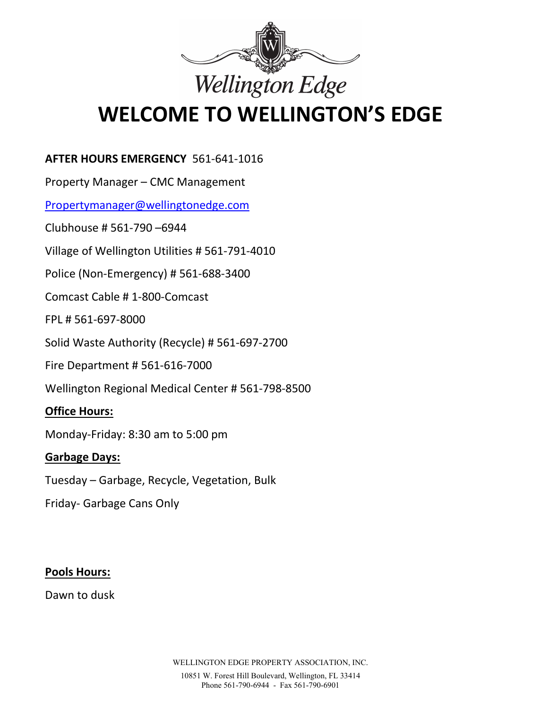

# WELCOME TO WELLINGTON'S EDGE

## AFTER HOURS EMERGENCY 561-641-1016

Property Manager – CMC Management

Propertymanager@wellingtonedge.com

Clubhouse # 561-790 –6944

Village of Wellington Utilities # 561-791-4010

Police (Non-Emergency) # 561-688-3400

Comcast Cable # 1-800-Comcast

FPL # 561-697-8000

Solid Waste Authority (Recycle) # 561-697-2700

Fire Department # 561-616-7000

Wellington Regional Medical Center # 561-798-8500

### Office Hours:

Monday-Friday: 8:30 am to 5:00 pm

### Garbage Days:

Tuesday – Garbage, Recycle, Vegetation, Bulk

Friday- Garbage Cans Only

### Pools Hours:

Dawn to dusk

WELLINGTON EDGE PROPERTY ASSOCIATION, INC.